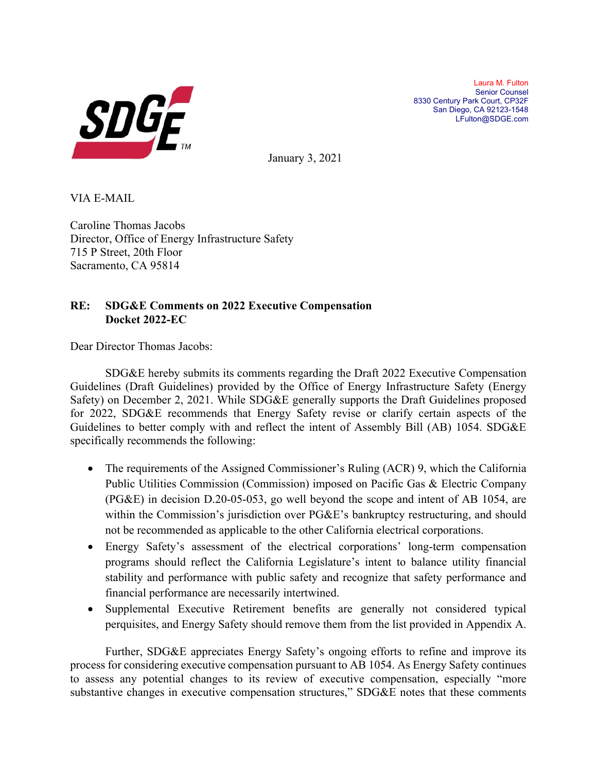

Laura M. Fulton Senior Counsel 8330 Century Park Court, CP32F San Diego, CA 92123-1548 LFulton@SDGE.com

January 3, 2021

VIA E-MAIL

Caroline Thomas Jacobs Director, Office of Energy Infrastructure Safety 715 P Street, 20th Floor Sacramento, CA 95814

# **RE: SDG&E Comments on 2022 Executive Compensation Docket 2022-EC**

Dear Director Thomas Jacobs:

SDG&E hereby submits its comments regarding the Draft 2022 Executive Compensation Guidelines (Draft Guidelines) provided by the Office of Energy Infrastructure Safety (Energy Safety) on December 2, 2021. While SDG&E generally supports the Draft Guidelines proposed for 2022, SDG&E recommends that Energy Safety revise or clarify certain aspects of the Guidelines to better comply with and reflect the intent of Assembly Bill (AB) 1054. SDG&E specifically recommends the following:

- The requirements of the Assigned Commissioner's Ruling (ACR) 9, which the California Public Utilities Commission (Commission) imposed on Pacific Gas & Electric Company (PG&E) in decision D.20-05-053, go well beyond the scope and intent of AB 1054, are within the Commission's jurisdiction over PG&E's bankruptcy restructuring, and should not be recommended as applicable to the other California electrical corporations.
- Energy Safety's assessment of the electrical corporations' long-term compensation programs should reflect the California Legislature's intent to balance utility financial stability and performance with public safety and recognize that safety performance and financial performance are necessarily intertwined.
- Supplemental Executive Retirement benefits are generally not considered typical perquisites, and Energy Safety should remove them from the list provided in Appendix A.

Further, SDG&E appreciates Energy Safety's ongoing efforts to refine and improve its process for considering executive compensation pursuant to AB 1054. As Energy Safety continues to assess any potential changes to its review of executive compensation, especially "more substantive changes in executive compensation structures," SDG&E notes that these comments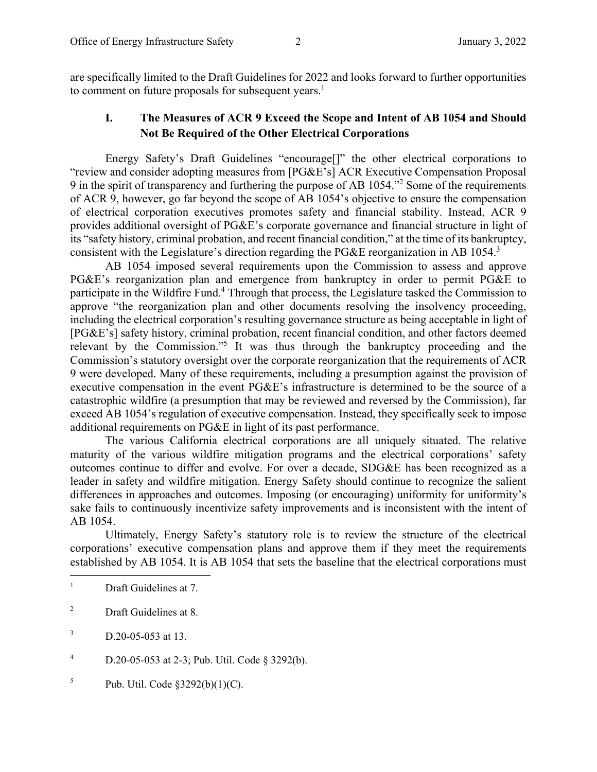are specifically limited to the Draft Guidelines for 2022 and looks forward to further opportunities to comment on future proposals for subsequent years.<sup>1</sup>

## **I. The Measures of ACR 9 Exceed the Scope and Intent of AB 1054 and Should Not Be Required of the Other Electrical Corporations**

Energy Safety's Draft Guidelines "encourage[]" the other electrical corporations to "review and consider adopting measures from [PG&E's] ACR Executive Compensation Proposal 9 in the spirit of transparency and furthering the purpose of AB 1054."<sup>2</sup> Some of the requirements of ACR 9, however, go far beyond the scope of AB 1054's objective to ensure the compensation of electrical corporation executives promotes safety and financial stability. Instead, ACR 9 provides additional oversight of PG&E's corporate governance and financial structure in light of its "safety history, criminal probation, and recent financial condition," at the time of its bankruptcy, consistent with the Legislature's direction regarding the PG&E reorganization in AB 1054.3

AB 1054 imposed several requirements upon the Commission to assess and approve PG&E's reorganization plan and emergence from bankruptcy in order to permit PG&E to participate in the Wildfire Fund.<sup>4</sup> Through that process, the Legislature tasked the Commission to approve "the reorganization plan and other documents resolving the insolvency proceeding, including the electrical corporation's resulting governance structure as being acceptable in light of [PG&E's] safety history, criminal probation, recent financial condition, and other factors deemed relevant by the Commission."<sup>5</sup> It was thus through the bankruptcy proceeding and the Commission's statutory oversight over the corporate reorganization that the requirements of ACR 9 were developed. Many of these requirements, including a presumption against the provision of executive compensation in the event PG&E's infrastructure is determined to be the source of a catastrophic wildfire (a presumption that may be reviewed and reversed by the Commission), far exceed AB 1054's regulation of executive compensation. Instead, they specifically seek to impose additional requirements on PG&E in light of its past performance.

The various California electrical corporations are all uniquely situated. The relative maturity of the various wildfire mitigation programs and the electrical corporations' safety outcomes continue to differ and evolve. For over a decade, SDG&E has been recognized as a leader in safety and wildfire mitigation. Energy Safety should continue to recognize the salient differences in approaches and outcomes. Imposing (or encouraging) uniformity for uniformity's sake fails to continuously incentivize safety improvements and is inconsistent with the intent of AB 1054.

Ultimately, Energy Safety's statutory role is to review the structure of the electrical corporations' executive compensation plans and approve them if they meet the requirements established by AB 1054. It is AB 1054 that sets the baseline that the electrical corporations must

2 Draft Guidelines at 8.

3 D.20-05-053 at 13.

4 D.20-05-053 at 2-3; Pub. Util. Code § 3292(b).

5 Pub. Util. Code §3292(b)(1)(C).

<sup>1</sup> Draft Guidelines at 7.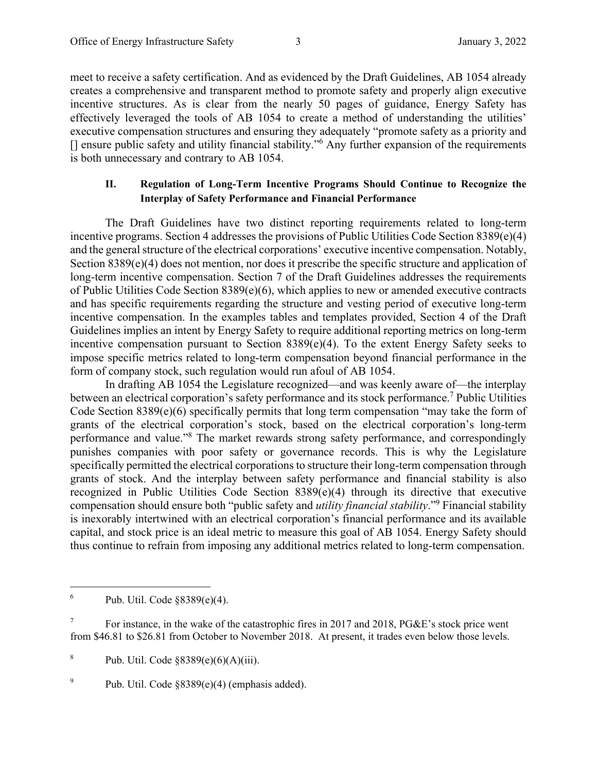meet to receive a safety certification. And as evidenced by the Draft Guidelines, AB 1054 already creates a comprehensive and transparent method to promote safety and properly align executive incentive structures. As is clear from the nearly 50 pages of guidance, Energy Safety has effectively leveraged the tools of AB 1054 to create a method of understanding the utilities' executive compensation structures and ensuring they adequately "promote safety as a priority and [] ensure public safety and utility financial stability."<sup>6</sup> Any further expansion of the requirements is both unnecessary and contrary to AB 1054.

#### **II. Regulation of Long-Term Incentive Programs Should Continue to Recognize the Interplay of Safety Performance and Financial Performance**

The Draft Guidelines have two distinct reporting requirements related to long-term incentive programs. Section 4 addresses the provisions of Public Utilities Code Section 8389(e)(4) and the general structure of the electrical corporations' executive incentive compensation. Notably, Section 8389(e)(4) does not mention, nor does it prescribe the specific structure and application of long-term incentive compensation. Section 7 of the Draft Guidelines addresses the requirements of Public Utilities Code Section 8389(e)(6), which applies to new or amended executive contracts and has specific requirements regarding the structure and vesting period of executive long-term incentive compensation. In the examples tables and templates provided, Section 4 of the Draft Guidelines implies an intent by Energy Safety to require additional reporting metrics on long-term incentive compensation pursuant to Section 8389(e)(4). To the extent Energy Safety seeks to impose specific metrics related to long-term compensation beyond financial performance in the form of company stock, such regulation would run afoul of AB 1054.

In drafting AB 1054 the Legislature recognized—and was keenly aware of—the interplay between an electrical corporation's safety performance and its stock performance.<sup>7</sup> Public Utilities Code Section 8389(e)(6) specifically permits that long term compensation "may take the form of grants of the electrical corporation's stock, based on the electrical corporation's long-term performance and value."<sup>8</sup> The market rewards strong safety performance, and correspondingly punishes companies with poor safety or governance records. This is why the Legislature specifically permitted the electrical corporations to structure their long-term compensation through grants of stock. And the interplay between safety performance and financial stability is also recognized in Public Utilities Code Section 8389(e)(4) through its directive that executive compensation should ensure both "public safety and *utility financial stability*."9 Financial stability is inexorably intertwined with an electrical corporation's financial performance and its available capital, and stock price is an ideal metric to measure this goal of AB 1054. Energy Safety should thus continue to refrain from imposing any additional metrics related to long-term compensation.

<sup>6</sup> Pub. Util. Code §8389(e)(4).

<sup>7</sup> For instance, in the wake of the catastrophic fires in 2017 and 2018, PG&E's stock price went from \$46.81 to \$26.81 from October to November 2018. At present, it trades even below those levels.

<sup>8</sup> Pub. Util. Code §8389(e)(6)(A)(iii).

<sup>9</sup> Pub. Util. Code §8389(e)(4) (emphasis added).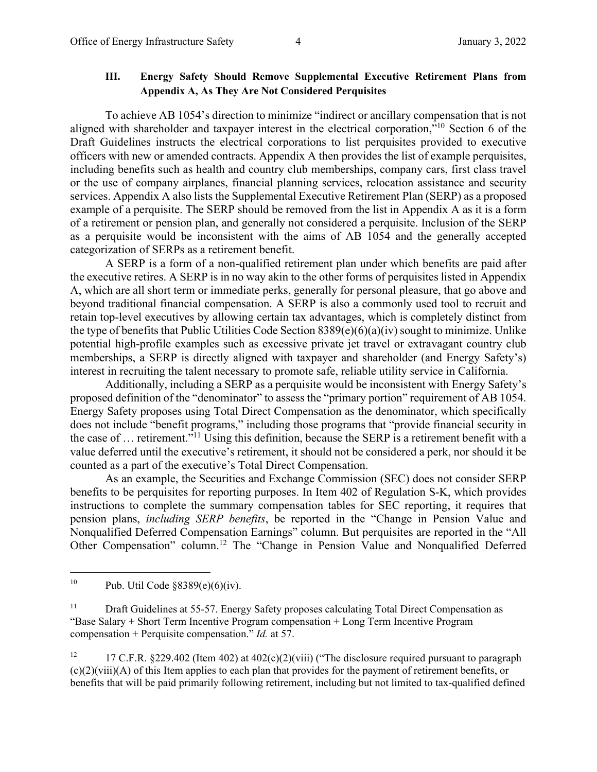### **III. Energy Safety Should Remove Supplemental Executive Retirement Plans from Appendix A, As They Are Not Considered Perquisites**

To achieve AB 1054's direction to minimize "indirect or ancillary compensation that is not aligned with shareholder and taxpayer interest in the electrical corporation,"10 Section 6 of the Draft Guidelines instructs the electrical corporations to list perquisites provided to executive officers with new or amended contracts. Appendix A then provides the list of example perquisites, including benefits such as health and country club memberships, company cars, first class travel or the use of company airplanes, financial planning services, relocation assistance and security services. Appendix A also lists the Supplemental Executive Retirement Plan (SERP) as a proposed example of a perquisite. The SERP should be removed from the list in Appendix A as it is a form of a retirement or pension plan, and generally not considered a perquisite. Inclusion of the SERP as a perquisite would be inconsistent with the aims of AB 1054 and the generally accepted categorization of SERPs as a retirement benefit.

A SERP is a form of a non-qualified retirement plan under which benefits are paid after the executive retires. A SERP is in no way akin to the other forms of perquisites listed in Appendix A, which are all short term or immediate perks, generally for personal pleasure, that go above and beyond traditional financial compensation. A SERP is also a commonly used tool to recruit and retain top-level executives by allowing certain tax advantages, which is completely distinct from the type of benefits that Public Utilities Code Section 8389(e)(6)(a)(iv) sought to minimize. Unlike potential high-profile examples such as excessive private jet travel or extravagant country club memberships, a SERP is directly aligned with taxpayer and shareholder (and Energy Safety's) interest in recruiting the talent necessary to promote safe, reliable utility service in California.

Additionally, including a SERP as a perquisite would be inconsistent with Energy Safety's proposed definition of the "denominator" to assess the "primary portion" requirement of AB 1054. Energy Safety proposes using Total Direct Compensation as the denominator, which specifically does not include "benefit programs," including those programs that "provide financial security in the case of … retirement."11 Using this definition, because the SERP is a retirement benefit with a value deferred until the executive's retirement, it should not be considered a perk, nor should it be counted as a part of the executive's Total Direct Compensation.

As an example, the Securities and Exchange Commission (SEC) does not consider SERP benefits to be perquisites for reporting purposes. In Item 402 of Regulation S-K, which provides instructions to complete the summary compensation tables for SEC reporting, it requires that pension plans, *including SERP benefits*, be reported in the "Change in Pension Value and Nonqualified Deferred Compensation Earnings" column. But perquisites are reported in the "All Other Compensation" column.12 The "Change in Pension Value and Nonqualified Deferred

<sup>&</sup>lt;sup>10</sup> Pub. Util Code  $§8389(e)(6)(iv)$ .

<sup>&</sup>lt;sup>11</sup> Draft Guidelines at 55-57. Energy Safety proposes calculating Total Direct Compensation as "Base Salary + Short Term Incentive Program compensation + Long Term Incentive Program compensation + Perquisite compensation." *Id.* at 57.

<sup>&</sup>lt;sup>12</sup> 17 C.F.R. §229.402 (Item 402) at 402(c)(2)(viii) ("The disclosure required pursuant to paragraph (c)(2)(viii)(A) of this Item applies to each plan that provides for the payment of retirement benefits, or benefits that will be paid primarily following retirement, including but not limited to tax-qualified defined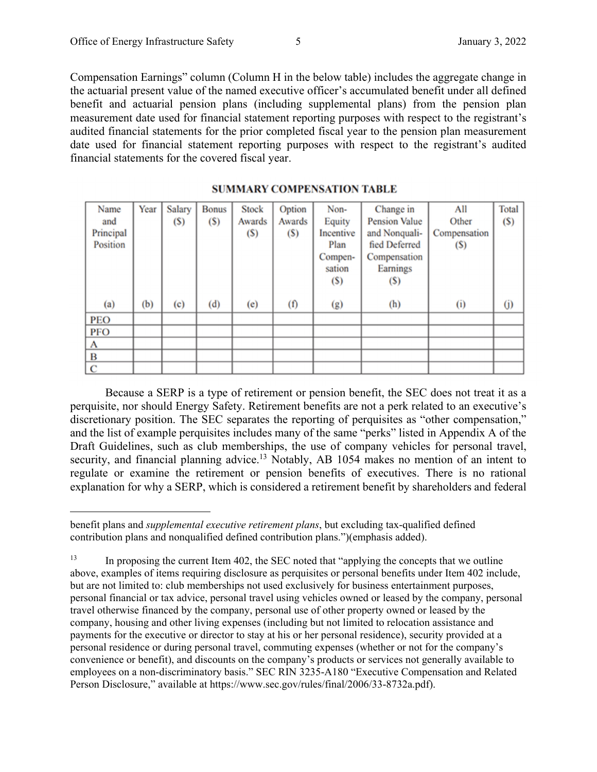Compensation Earnings" column (Column H in the below table) includes the aggregate change in the actuarial present value of the named executive officer's accumulated benefit under all defined benefit and actuarial pension plans (including supplemental plans) from the pension plan measurement date used for financial statement reporting purposes with respect to the registrant's audited financial statements for the prior completed fiscal year to the pension plan measurement date used for financial statement reporting purposes with respect to the registrant's audited financial statements for the covered fiscal year.

| Name        | Year | Salary                   | <b>Bonus</b> | <b>Stock</b> | Option | Non-      | Change in            | All          | Total |
|-------------|------|--------------------------|--------------|--------------|--------|-----------|----------------------|--------------|-------|
| and         |      | (S)                      | (S)          | Awards       | Awards | Equity    | <b>Pension Value</b> | Other        | (S)   |
| Principal   |      |                          |              | (S)          | (S)    | Incentive | and Nonquali-        | Compensation |       |
| Position    |      |                          |              |              |        | Plan      | fied Deferred        | (S)          |       |
|             |      |                          |              |              |        | Compen-   | Compensation         |              |       |
|             |      |                          |              |              |        | sation    | Earnings             |              |       |
|             |      |                          |              |              |        | (S)       | (S)                  |              |       |
|             |      |                          |              |              |        |           |                      |              |       |
| (a)         | (b)  | $\left( \text{c}\right)$ | (d)          | (e)          | (f)    | (g)       | (h)                  | (i)          | (j)   |
| <b>PEO</b>  |      |                          |              |              |        |           |                      |              |       |
| <b>PFO</b>  |      |                          |              |              |        |           |                      |              |       |
| A           |      |                          |              |              |        |           |                      |              |       |
| B           |      |                          |              |              |        |           |                      |              |       |
| $\mathbf C$ |      |                          |              |              |        |           |                      |              |       |

#### **SUMMARY COMPENSATION TABLE**

Because a SERP is a type of retirement or pension benefit, the SEC does not treat it as a perquisite, nor should Energy Safety. Retirement benefits are not a perk related to an executive's discretionary position. The SEC separates the reporting of perquisites as "other compensation," and the list of example perquisites includes many of the same "perks" listed in Appendix A of the Draft Guidelines, such as club memberships, the use of company vehicles for personal travel, security, and financial planning advice.<sup>13</sup> Notably, AB 1054 makes no mention of an intent to regulate or examine the retirement or pension benefits of executives. There is no rational explanation for why a SERP, which is considered a retirement benefit by shareholders and federal

benefit plans and *supplemental executive retirement plans*, but excluding tax-qualified defined contribution plans and nonqualified defined contribution plans.")(emphasis added).

<sup>&</sup>lt;sup>13</sup> In proposing the current Item 402, the SEC noted that "applying the concepts that we outline above, examples of items requiring disclosure as perquisites or personal benefits under Item 402 include, but are not limited to: club memberships not used exclusively for business entertainment purposes, personal financial or tax advice, personal travel using vehicles owned or leased by the company, personal travel otherwise financed by the company, personal use of other property owned or leased by the company, housing and other living expenses (including but not limited to relocation assistance and payments for the executive or director to stay at his or her personal residence), security provided at a personal residence or during personal travel, commuting expenses (whether or not for the company's convenience or benefit), and discounts on the company's products or services not generally available to employees on a non-discriminatory basis." SEC RIN 3235-A180 "Executive Compensation and Related Person Disclosure," available at https://www.sec.gov/rules/final/2006/33-8732a.pdf).